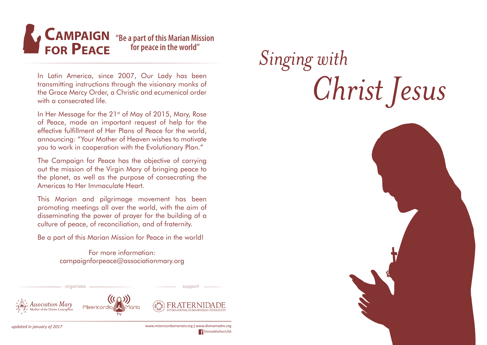

In Latin America, since 2007, Our Lady has been transmitting instructions through the visionary monks of the Grace Mercy Order, a Christic and ecumenical order with a consecrated life.

In Her Message for the 21<sup>st</sup> of May of 2015, Mary, Rose of Peace, made an important request of help for the effective fulfillment of Her Plans of Peace for the world, announcing: "Your Mother of Heaven wishes to motivate you to work in cooperation with the Evolutionary Plan."

The Campaign for Peace has the objective of carrying out the mission of the Virgin Mary of bringing peace to the planet, as well as the purpose of consecrating the Americas to Her Immaculate Heart.

This Marian and pilgrimage movement has been promoting meetings all over the world, with the aim of disseminating the power of prayer for the building of a culture of peace, of reconciliation, and of fraternity.

Be a part of this Marian Mission for Peace in the world!

For more information: campaignforpeace@associationmary.org



*updated in january of 2017* www.misericordiamariatv.org I www.divinamadre.org DivineMotherUSA

# *Singing with Christ Jesus*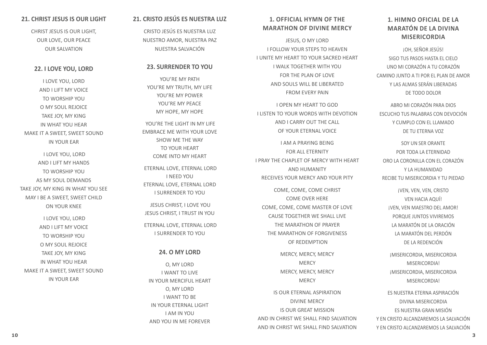# **1. HIMNO OFICIAL DE LA MARATÓN DE LA DIVINA MISERICORDIA**

¡OH, SEÑOR JESÚS! SIGO TUS PASOS HASTA EL CIELO UNO MI CORAZÓN A TU CORAZÓN CAMINO JUNTO A TI POR EL PLAN DE AMOR Y LAS ALMAS SERÁN LIBERADAS DE TODO DOLOR

ABRO MI CORAZÓN PARA DIOS ESCUCHO TUS PALABRAS CON DEVOCIÓN Y CUMPLO CON EL LLAMADO DE TU ETERNA VOZ

SOY UN SER ORANTE POR TODA LA ETERNIDAD ORO LA CORONILLA CON EL CORAZÓN Y LA HUMANIDAD RECIBE TU MISERICORDIA Y TU PIEDAD

¡VEN, VEN, VEN, CRISTO VEN HACIA AQUÍ! ¡VEN, VEN MAESTRO DEL AMOR! PORQUE JUNTOS VIVIREMOS LA MARATÓN DE LA ORACIÓN LA MARATÓN DEL PERDÓN DE LA REDENCIÓN

¡MISERICORDIA, MISERICORDIA MISERICORDIA! ¡MISERICORDIA, MISERICORDIA MISERICORDIA!

ES NUESTRA ETERNA ASPIRACIÓN DIVINA MISERICORDIA ES NUESTRA GRAN MISIÓN Y EN CRISTO ALCANZAREMOS LA SALVACIÓN Y EN CRISTO ALCANZAREMOS LA SALVACIÓN

# **1. OFFICIAL HYMN OF THE MARATHON OF DIVINE MERCY**

JESUS, O MY LORD I FOLLOW YOUR STEPS TO HEAVEN I UNITE MY HEART TO YOUR SACRED HEART I WALK TOGETHER WITH YOU FOR THE PLAN OF LOVE AND SOULS WILL BE LIBERATED FROM EVERY PAIN

I OPEN MY HEART TO GOD I LISTEN TO YOUR WORDS WITH DEVOTION AND I CARRY OUT THE CALL OF YOUR ETERNAL VOICE

I AM A PRAYING BEING FOR ALL ETERNITY I PRAY THE CHAPLET OF MERCY WITH HEART AND HUMANITY RECEIVES YOUR MERCY AND YOUR PITY

COME, COME, COME CHRIST COME OVER HERE COME, COME, COME MASTER OF LOVE CAUSE TOGETHER WE SHALL LIVE THE MARATHON OF PRAYER THE MARATHON OF FORGIVENESS OF REDEMPTION MERCY, MERCY, MERCY **MERCY** 

MERCY, MERCY, MERCY **MERCY** IS OUR ETERNAL ASPIRATION DIVINE MERCY IS OUR GREAT MISSION AND IN CHRIST WE SHALL FIND SALVATION AND IN CHRIST WE SHALL FIND SALVATION

# **21. CRISTO JESÚS ES NUESTRA LUZ**

CRISTO JESÚS ES NUESTRA LUZ NUESTRO AMOR, NUESTRA PAZ NUESTRA SALVACIÓN

# **23. SURRENDER TO YOU**

YOU'RE MY PATH YOU'RE MY TRUTH, MY LIFE YOU'RE MY POWER YOU'RE MY PEACE MY HOPE, MY HOPE

YOU'RE THE LIGHT IN MY LIFE EMBRACE ME WITH YOUR LOVE SHOW ME THE WAY TO YOUR HEART COME INTO MY HEART

 ETERNAL LOVE, ETERNAL LORD I NEED YOU ETERNAL LOVE, ETERNAL LORD I SURRENDER TO YOU

 JESUS CHRIST, I LOVE YOU JESUS CHRIST, I TRUST IN YOU

 ETERNAL LOVE, ETERNAL LORD I SURRENDER TO YOU

# **24. O MY LORD**

O, MY LORD I WANT TO LIVE IN YOUR MERCIFUL HEART O, MY LORD I WANT TO BE IN YOUR ETERNAL LIGHT I AM IN YOU AND YOU IN ME FOREVER

# **21. CHRIST JESUS IS OUR LIGHT**

CHRIST JESUS IS OUR LIGHT, OUR LOVE, OUR PEACE OUR SALVATION

# **22. I LOVE YOU, LORD**

I LOVE YOU, LORD AND I LIFT MY VOICE TO WORSHIP YOU O MY SOUL REJOICE TAKE JOY, MY KING IN WHAT YOU HEAR MAKE IT A SWEET, SWEET SOUND IN YOUR EAR

 I LOVE YOU, LORD AND I LIFT MY HANDS TO WORSHIP YOU AS MY SOUL DEMANDS TAKE JOY, MY KING IN WHAT YOU SEE MAY I BE A SWEET, SWEET CHILD ON YOUR KNEE

 I LOVE YOU, LORD AND I LIFT MY VOICE TO WORSHIP YOU O MY SOUL REJOICE TAKE JOY, MY KING IN WHAT YOU HEAR MAKE IT A SWEET, SWEET SOUND IN YOUR EAR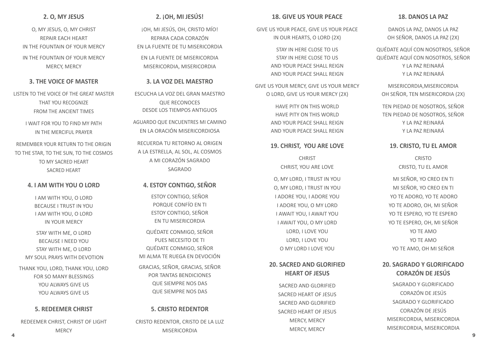#### **18. DANOS LA PAZ**

**18. GIVE US YOUR PEACE**

GIVE US YOUR PEACE, GIVE US YOUR PEACE IN OUR HEARTS, O LORD (2X)

> STAY IN HERE CLOSE TO US STAY IN HERE CLOSE TO US AND YOUR PEACE SHALL REIGN AND YOUR PEACE SHALL REIGN

GIVE US YOUR MERCY, GIVE US YOUR MERCY O LORD, GIVE US YOUR MERCY (2X)

> HAVE PITY ON THIS WORLD HAVE PITY ON THIS WORLD AND YOUR PEACE SHALL REIGN AND YOUR PEACE SHALL REIGN

> **19. CHRIST, YOU ARE LOVE**

**CHRIST** CHRIST, YOU ARE LOVE

O, MY LORD, I TRUST IN YOU O, MY LORD, I TRUST IN YOU I ADORE YOU, I ADORE YOU I ADORE YOU, O MY LORD I AWAIT YOU, I AWAIT YOU I AWAIT YOU, O MY LORD LORD, I LOVE YOU LORD, I LOVE YOU O MY LORD I LOVE YOU

**20. SACRED AND GLORIFIED HEART OF JESUS** 

> SACRED AND GLORIFIED SACRED HEART OF JESUS SACRED AND GLORIFIED SACRED HEART OF JESUS MERCY, MERCY MERCY, MERCY

DANOS LA PAZ, DANOS LA PAZ OH SEÑOR, DANOS LA PAZ (2X)

QUÉDATE AQUÍ CON NOSOTROS, SEÑOR QUÉDATE AQUÍ CON NOSOTROS, SEÑOR Y LA PAZ REINARÁ Y LA PAZ REINARÁ

MISERICORDIA,MISERICORDIA OH SEÑOR, TEN MISERICORDIA (2X)

TEN PIEDAD DE NOSOTROS, SEÑOR TEN PIEDAD DE NOSOTROS, SEÑOR Y LA PAZ REINARÁ Y LA PAZ REINARÁ

### **19. CRISTO, TU EL AMOR**

CRISTO CRISTO, TU EL AMOR

MI SEÑOR, YO CREO EN TI MI SEÑOR, YO CREO EN TI YO TE ADORO, YO TE ADORO YO TE ADORO, OH, MI SEÑOR YO TE ESPERO, YO TE ESPERO YO TE ESPERO, OH, MI SEÑOR YO TE AMO YO TE AMO YO TE AMO, OH MI SEÑOR

# **20. SAGRADO Y GLORIFICADO CORAZÓN DE JESÚS**

SAGRADO Y GLORIFICADO CORAZÓN DE JESÚS SAGRADO Y GLORIFICADO CORAZÓN DE JESÚS MISERICORDIA, MISERICORDIA MISERICORDIA, MISERICORDIA

¡OH, MI JESÚS, OH, CRISTO MÍO! REPARA CADA CORAZÓN EN LA FUENTE DE TU MISERICORDIA EN LA FUENTE DE MISERICORDIA MISERICORDIA, MISERICORDIA

**2. ¡OH, MI JESÚS!**

#### **3. LA VOZ DEL MAESTRO**

ESCUCHA LA VOZ DEL GRAN MAESTRO QUE RECONOCES DESDE LOS TIEMPOS ANTIGUOS

AGUARDO QUE ENCUENTRES MI CAMINO EN LA ORACIÓN MISERICORDIOSA

RECUERDA TU RETORNO AL ORIGEN A LA ESTRELLA, AL SOL, AL COSMOS A MI CORAZÓN SAGRADO SAGRADO

#### **4. ESTOY CONTIGO, SEÑOR**

ESTOY CONTIGO, SEÑOR PORQUE CONFÍO EN TI ESTOY CONTIGO, SEÑOR EN TU MISERICORDIA QUÉDATE CONMIGO, SEÑOR PUES NECESITO DE TI QUÉDATE CONMIGO, SEÑOR MI ALMA TE RUEGA EN DEVOCIÓN

GRACIAS, SEÑOR, GRACIAS, SEÑOR POR TANTAS BENDICIONES QUE SIEMPRE NOS DAS QUE SIEMPRE NOS DAS

#### **5. CRISTO REDENTOR**

CRISTO REDENTOR, CRISTO DE LA LUZ MISERICORDIA

#### **2. O, MY JESUS**

O, MY JESUS, O, MY CHRIST REPAIR EACH HEART IN THE FOUNTAIN OF YOUR MERCY IN THE FOUNTAIN OF YOUR MERCY MERCY, MERCY

# **3. THE VOICE OF MASTER**

LISTEN TO THE VOICE OF THE GREAT MASTER THAT YOU RECOGNIZE FROM THE ANCIENT TIMES

> I WAIT FOR YOU TO FIND MY PATH IN THE MERCIFUL PRAYER

REMEMBER YOUR RETURN TO THE ORIGIN TO THE STAR, TO THE SUN, TO THE COSMOS TO MY SACRED HEART SACRED HEART

#### **4. I AM WITH YOU O LORD**

I AM WITH YOU, O LORD BECAUSE I TRUST IN YOU I AM WITH YOU, O LORD IN YOUR MERCY

STAY WITH ME, O LORD BECAUSE I NEED YOU STAY WITH ME, O LORD MY SOUL PRAYS WITH DEVOTION

THANK YOU, LORD, THANK YOU, LORD FOR SO MANY BLESSINGS YOU ALWAYS GIVE US YOU ALWAYS GIVE US

#### **5. REDEEMER CHRIST**

REDEEMER CHRIST, CHRIST OF LIGHT **MERCY 4 9**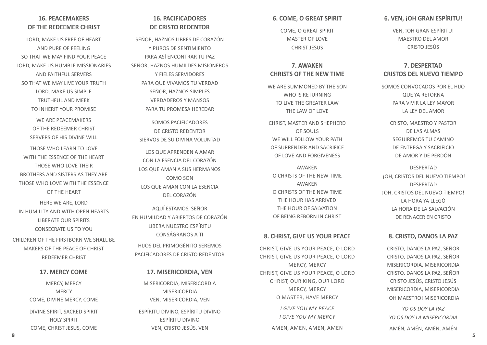# **6. VEN, ¡OH GRAN ESPÍRITU!**

**6. COME, O GREAT SPIRIT** 

COME, O GREAT SPIRIT MASTER OF LOVE CHRIST JESUS

**7. AWAKEN CHRISTS OF THE NEW TIME** 

WE ARE SUMMONED BY THE SON WHO IS RETURNING TO LIVE THE GREATER LAW THE LAW OF LOVE

CHRIST, MASTER AND SHEPHERD OF SOULS WE WILL FOLLOW YOUR PATH OF SURRENDER AND SACRIFICE OF LOVE AND FORGIVENESS

AWAKEN O CHRISTS OF THE NEW TIME AWAKEN O CHRISTS OF THE NEW TIME THE HOUR HAS ARRIVED THE HOUR OF SALVATION OF BEING REBORN IN CHRIST

**8. CHRIST, GIVE US YOUR PEACE** 

CHRIST, GIVE US YOUR PEACE, O LORD CHRIST, GIVE US YOUR PEACE, O LORD MERCY, MERCY CHRIST, GIVE US YOUR PEACE, O LORD CHRIST, OUR KING, OUR LORD MERCY, MERCY O MASTER, HAVE MERCY *I GIVE YOU MY PEACE I GIVE YOU MY MERCY* AMEN, AMEN, AMEN, AMEN

VEN, ¡OH GRAN ESPÍRITU! MAESTRO DEL AMOR CRISTO JESÚS

# **7. DESPERTAD CRISTOS DEL NUEVO TIEMPO**

SOMOS CONVOCADOS POR EL HIJO QUE YA RETORNA PARA VIVIR LA LEY MAYOR LA LEY DEL AMOR

> CRISTO, MAESTRO Y PASTOR DE LAS ALMAS SEGUIREMOS TU CAMINO DE ENTREGA Y SACRIFICIO DE AMOR Y DE PERDÓN

DESPERTAD ¡OH, CRISTOS DEL NUEVO TIEMPO! DESPERTAD ¡OH, CRISTOS DEL NUEVO TIEMPO! LA HORA YA LLEGÓ LA HORA DE LA SALVACIÓN DE RENACER EN CRISTO

#### **8. CRISTO, DANOS LA PAZ**

CRISTO, DANOS LA PAZ, SEÑOR CRISTO, DANOS LA PAZ, SEÑOR MISERICORDIA, MISERICORDIA CRISTO, DANOS LA PAZ, SEÑOR CRISTO JESÚS, CRISTO JESÚS MISERICORDIA, MISERICORDIA ¡OH MAESTRO! MISERICORDIA

*YO OS DOY LA PAZ YO OS DOY LA MISERICORDIA* AMÉN, AMÉN, AMÉN, AMÉN

# **16. PACIFICADORES DE CRISTO REDENTOR**

SEÑOR, HAZNOS LIBRES DE CORAZÓN Y PUROS DE SENTIMIENTO PARA ASÍ ENCONTRAR TU PAZ SEÑOR, HAZNOS HUMILDES MISIONEROS Y FIELES SERVIDORES PARA QUE VIVAMOS TU VERDAD SEÑOR, HAZNOS SIMPLES VERDADEROS Y MANSOS PARA TU PROMESA HEREDAR

SOMOS PACIFICADORES DE CRISTO REDENTOR SIERVOS DE SU DIVINA VOLUNTAD

LOS QUE APRENDEN A AMAR CON LA ESENCIA DEL CORAZÓN LOS QUE AMAN A SUS HERMANOS COMO SON LOS QUE AMAN CON LA ESENCIA DEL CORAZÓN

AQUÍ ESTAMOS, SEÑOR EN HUMILDAD Y ABIERTOS DE CORAZÓN LIBERA NUESTRO ESPÍRITU CONSÁGRANOS A TI HIJOS DEL PRIMOGÉNITO SEREMOS

**17. MISERICORDIA, VEN**

PACIFICADORES DE CRISTO REDENTOR

MISERICORDIA, MISERICORDIA MISERICORDIA VEN, MISERICORDIA, VEN ESPÍRITU DIVINO, ESPÍRITU DIVINO ESPÍRITU DIVINO VEN, CRISTO JESÚS, VEN

# **16. PEACEMAKERS OF THE REDEEMER CHRIST**

LORD, MAKE US FREE OF HEART AND PURE OF FEELING SO THAT WE MAY FIND YOUR PEACE LORD, MAKE US HUMBLE MISSIONARIES AND FAITHFUL SERVERS SO THAT WE MAY LIVE YOUR TRUTH LORD, MAKE US SIMPLE TRUTHFUL AND MEEK TO INHERIT YOUR PROMISE

> WE ARE PEACEMAKERS OF THE REDEEMER CHRIST SERVERS OF HIS DIVINE WILL

THOSE WHO LEARN TO LOVE WITH THE ESSENCE OF THE HEART THOSE WHO LOVE THEIR BROTHERS AND SISTERS AS THEY ARE THOSE WHO LOVE WITH THE ESSENCE OF THE HEART

HERE WE ARE, LORD IN HUMILITY AND WITH OPEN HEARTS LIBERATE OUR SPIRITS CONSECRATE US TO YOU

CHILDREN OF THE FIRSTBORN WE SHALL BE MAKERS OF THE PEACE OF CHRIST REDEEMER CHRIST

#### **17. MERCY COME**

MERCY, MERCY **MERCY** COME, DIVINE MERCY, COME DIVINE SPIRIT, SACRED SPIRIT HOLY SPIRIT COME, CHRIST JESUS, COME